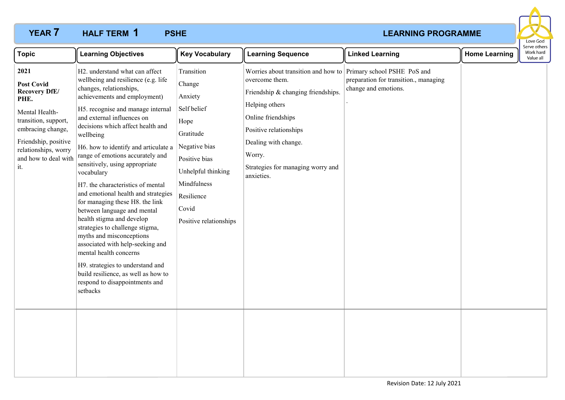# **YEAR 7 HALF TERM 1 PSHE** *PSHE PSHE PSHE PSHE PSHE PSHE PSHE* **HALF TERM PSHE 1**



| <b>Topic</b>                                                                                                                                                                                            | <b>Learning Objectives</b>                                                                                                                                                                                                                                                                                                                                                                                                                                                                                                                                                                                                                                                                                                                                                                                         | <b>Key Vocabulary</b>                                                                                                                                                                       | <b>Learning Sequence</b>                                                                                                                                                                                                                                                       | <b>Linked Learning</b>                                        | <b>Home Learning</b> | Serve others<br>Work hard<br>Value all |
|---------------------------------------------------------------------------------------------------------------------------------------------------------------------------------------------------------|--------------------------------------------------------------------------------------------------------------------------------------------------------------------------------------------------------------------------------------------------------------------------------------------------------------------------------------------------------------------------------------------------------------------------------------------------------------------------------------------------------------------------------------------------------------------------------------------------------------------------------------------------------------------------------------------------------------------------------------------------------------------------------------------------------------------|---------------------------------------------------------------------------------------------------------------------------------------------------------------------------------------------|--------------------------------------------------------------------------------------------------------------------------------------------------------------------------------------------------------------------------------------------------------------------------------|---------------------------------------------------------------|----------------------|----------------------------------------|
| 2021<br><b>Post Covid</b><br><b>Recovery DfE/</b><br>PHE.<br>Mental Health-<br>transition, support,<br>embracing change,<br>Friendship, positive<br>relationships, worry<br>and how to deal with<br>it. | H2. understand what can affect<br>wellbeing and resilience (e.g. life<br>changes, relationships,<br>achievements and employment)<br>H5. recognise and manage internal<br>and external influences on<br>decisions which affect health and<br>wellbeing<br>H6. how to identify and articulate a<br>range of emotions accurately and<br>sensitively, using appropriate<br>vocabulary<br>H7. the characteristics of mental<br>and emotional health and strategies<br>for managing these H8. the link<br>between language and mental<br>health stigma and develop<br>strategies to challenge stigma,<br>myths and misconceptions<br>associated with help-seeking and<br>mental health concerns<br>H9. strategies to understand and<br>build resilience, as well as how to<br>respond to disappointments and<br>setbacks | Transition<br>Change<br>Anxiety<br>Self belief<br>Hope<br>Gratitude<br>Negative bias<br>Positive bias<br>Unhelpful thinking<br>Mindfulness<br>Resilience<br>Covid<br>Positive relationships | Worries about transition and how to Primary school PSHE PoS and<br>overcome them.<br>Friendship & changing friendships.<br>Helping others<br>Online friendships<br>Positive relationships<br>Dealing with change.<br>Worry.<br>Strategies for managing worry and<br>anxieties. | preparation for transition., managing<br>change and emotions. |                      |                                        |
|                                                                                                                                                                                                         |                                                                                                                                                                                                                                                                                                                                                                                                                                                                                                                                                                                                                                                                                                                                                                                                                    |                                                                                                                                                                                             |                                                                                                                                                                                                                                                                                |                                                               |                      |                                        |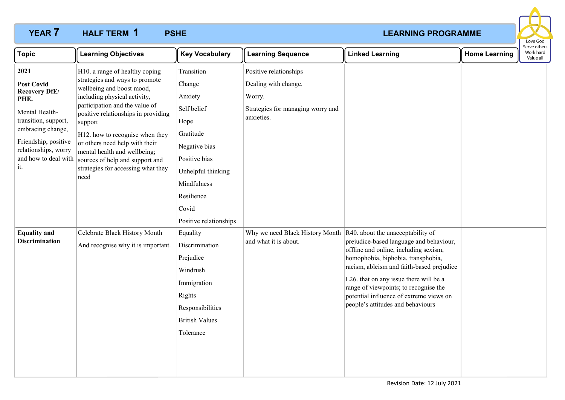# **YEAR 7 HALF TERM 1 PSHE** *PSHE PSHE PSHE PSHE PSHE PSHE PSHE* **HALF TERM PSHE 1**



| <b>Topic</b>                                                                                                                                                                                            | <b>Learning Objectives</b>                                                                                                                                                                                                                                                                                                                                                                              | <b>Key Vocabulary</b>                                                                                                                                                                       | <b>Learning Sequence</b>                                                                                    | <b>Linked Learning</b>                                                                                                                                                                                                                                                                                                                 | <b>Home Learning</b> | Serve others<br>Work hard<br>Value all |  |
|---------------------------------------------------------------------------------------------------------------------------------------------------------------------------------------------------------|---------------------------------------------------------------------------------------------------------------------------------------------------------------------------------------------------------------------------------------------------------------------------------------------------------------------------------------------------------------------------------------------------------|---------------------------------------------------------------------------------------------------------------------------------------------------------------------------------------------|-------------------------------------------------------------------------------------------------------------|----------------------------------------------------------------------------------------------------------------------------------------------------------------------------------------------------------------------------------------------------------------------------------------------------------------------------------------|----------------------|----------------------------------------|--|
| 2021<br><b>Post Covid</b><br><b>Recovery DfE/</b><br>PHE.<br>Mental Health-<br>transition, support,<br>embracing change,<br>Friendship, positive<br>relationships, worry<br>and how to deal with<br>it. | H10. a range of healthy coping<br>strategies and ways to promote<br>wellbeing and boost mood,<br>including physical activity,<br>participation and the value of<br>positive relationships in providing<br>support<br>H12. how to recognise when they<br>or others need help with their<br>mental health and wellbeing;<br>sources of help and support and<br>strategies for accessing what they<br>need | Transition<br>Change<br>Anxiety<br>Self belief<br>Hope<br>Gratitude<br>Negative bias<br>Positive bias<br>Unhelpful thinking<br>Mindfulness<br>Resilience<br>Covid<br>Positive relationships | Positive relationships<br>Dealing with change.<br>Worry.<br>Strategies for managing worry and<br>anxieties. |                                                                                                                                                                                                                                                                                                                                        |                      |                                        |  |
| <b>Equality and</b><br><b>Discrimination</b>                                                                                                                                                            | Celebrate Black History Month<br>And recognise why it is important.                                                                                                                                                                                                                                                                                                                                     | Equality<br>Discrimination<br>Prejudice<br>Windrush<br>Immigration<br>Rights<br>Responsibilities<br><b>British Values</b><br>Tolerance                                                      | Why we need Black History Month $\vert$ R40. about the unacceptability of<br>and what it is about.          | prejudice-based language and behaviour,<br>offline and online, including sexism,<br>homophobia, biphobia, transphobia,<br>racism, ableism and faith-based prejudice<br>L26. that on any issue there will be a<br>range of viewpoints; to recognise the<br>potential influence of extreme views on<br>people's attitudes and behaviours |                      |                                        |  |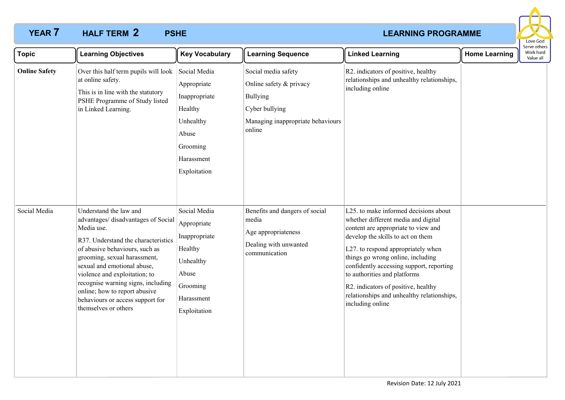# **YEAR 7 HALF TERM 2 PSHE** *PSHE PSHE PSHE PSHE PSHE PSHE PSHE* **HALF TERM PSHE 2**



| <b>Topic</b>         | <b>Learning Objectives</b>                                                                                                                                                                                                                                                                                                                                                             | <b>Key Vocabulary</b>                                                                                                   | <b>Learning Sequence</b>                                                                                                           | <b>Linked Learning</b>                                                                                                                                                                                                                                                                                                                                                                                                   | <b>Home Learning</b> | Serve others<br>Work hard<br>Value all |
|----------------------|----------------------------------------------------------------------------------------------------------------------------------------------------------------------------------------------------------------------------------------------------------------------------------------------------------------------------------------------------------------------------------------|-------------------------------------------------------------------------------------------------------------------------|------------------------------------------------------------------------------------------------------------------------------------|--------------------------------------------------------------------------------------------------------------------------------------------------------------------------------------------------------------------------------------------------------------------------------------------------------------------------------------------------------------------------------------------------------------------------|----------------------|----------------------------------------|
| <b>Online Safety</b> | Over this half term pupils will look<br>at online safety.<br>This is in line with the statutory<br>PSHE Programme of Study listed<br>in Linked Learning.                                                                                                                                                                                                                               | Social Media<br>Appropriate<br>Inappropriate<br>Healthy<br>Unhealthy<br>Abuse<br>Grooming<br>Harassment<br>Exploitation | Social media safety<br>Online safety & privacy<br><b>Bullying</b><br>Cyber bullying<br>Managing inappropriate behaviours<br>online | R2. indicators of positive, healthy<br>relationships and unhealthy relationships,<br>including online                                                                                                                                                                                                                                                                                                                    |                      |                                        |
| Social Media         | Understand the law and<br>advantages/disadvantages of Social<br>Media use.<br>R37. Understand the characteristics<br>of abusive behaviours, such as<br>grooming, sexual harassment,<br>sexual and emotional abuse,<br>violence and exploitation; to<br>recognise warning signs, including<br>online; how to report abusive<br>behaviours or access support for<br>themselves or others | Social Media<br>Appropriate<br>Inappropriate<br>Healthy<br>Unhealthy<br>Abuse<br>Grooming<br>Harassment<br>Exploitation | Benefits and dangers of social<br>media<br>Age appropriateness<br>Dealing with unwanted<br>communication                           | L25. to make informed decisions about<br>whether different media and digital<br>content are appropriate to view and<br>develop the skills to act on them<br>L27. to respond appropriately when<br>things go wrong online, including<br>confidently accessing support, reporting<br>to authorities and platforms<br>R2. indicators of positive, healthy<br>relationships and unhealthy relationships,<br>including online |                      |                                        |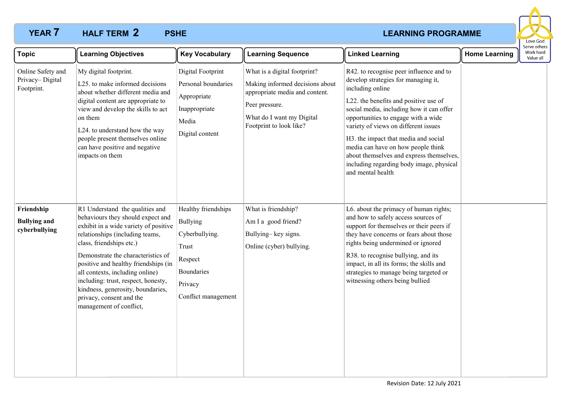# **YEAR 7 HALF TERM 2 PSHE** *PSHE PSHE PSHE PSHE PSHE PSHE PSHE* **HALF TERM PSHE 2**



| <b>Topic</b>                                       | <b>Learning Objectives</b>                                                                                                                                                                                                                                                                                                                                                                                                       | <b>Key Vocabulary</b>                                                                                                 | <b>Learning Sequence</b>                                                                                                                                                    | <b>Linked Learning</b>                                                                                                                                                                                                                                                                                                                                                                                                                                            | <b>Home Learning</b> | Serve others<br>Work hard<br>Value all |
|----------------------------------------------------|----------------------------------------------------------------------------------------------------------------------------------------------------------------------------------------------------------------------------------------------------------------------------------------------------------------------------------------------------------------------------------------------------------------------------------|-----------------------------------------------------------------------------------------------------------------------|-----------------------------------------------------------------------------------------------------------------------------------------------------------------------------|-------------------------------------------------------------------------------------------------------------------------------------------------------------------------------------------------------------------------------------------------------------------------------------------------------------------------------------------------------------------------------------------------------------------------------------------------------------------|----------------------|----------------------------------------|
| Online Safety and<br>Privacy-Digital<br>Footprint. | My digital footprint.<br>L25. to make informed decisions<br>about whether different media and<br>digital content are appropriate to<br>view and develop the skills to act<br>on them<br>L24. to understand how the way<br>people present themselves online<br>can have positive and negative<br>impacts on them                                                                                                                  | <b>Digital Footprint</b><br>Personal boundaries<br>Appropriate<br>Inappropriate<br>Media<br>Digital content           | What is a digital footprint?<br>Making informed decisions about<br>appropriate media and content.<br>Peer pressure.<br>What do I want my Digital<br>Footprint to look like? | R42. to recognise peer influence and to<br>develop strategies for managing it,<br>including online<br>L22. the benefits and positive use of<br>social media, including how it can offer<br>opportunities to engage with a wide<br>variety of views on different issues<br>H3. the impact that media and social<br>media can have on how people think<br>about themselves and express themselves,<br>including regarding body image, physical<br>and mental health |                      |                                        |
| Friendship<br><b>Bullying and</b><br>cyberbullying | R1 Understand the qualities and<br>behaviours they should expect and<br>exhibit in a wide variety of positive<br>relationships (including teams,<br>class, friendships etc.)<br>Demonstrate the characteristics of<br>positive and healthy friendships (in<br>all contexts, including online)<br>including: trust, respect, honesty,<br>kindness, generosity, boundaries,<br>privacy, consent and the<br>management of conflict, | Healthy friendships<br>Bullying<br>Cyberbullying.<br>Trust<br>Respect<br>Boundaries<br>Privacy<br>Conflict management | What is friendship?<br>Am I a good friend?<br>Bullying-key signs.<br>Online (cyber) bullying.                                                                               | L6. about the primacy of human rights;<br>and how to safely access sources of<br>support for themselves or their peers if<br>they have concerns or fears about those<br>rights being undermined or ignored<br>R38. to recognise bullying, and its<br>impact, in all its forms; the skills and<br>strategies to manage being targeted or<br>witnessing others being bullied                                                                                        |                      |                                        |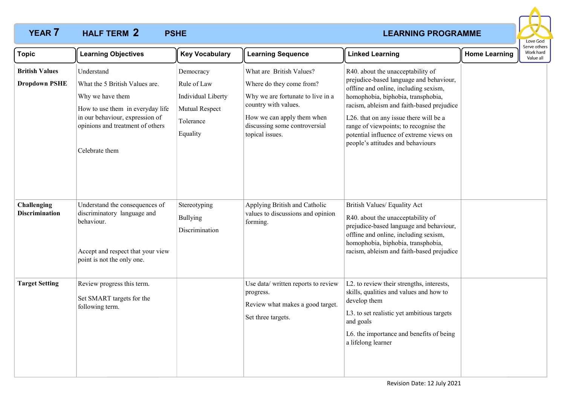# **YEAR 7 HALF TERM 2 PSHE** *PSHE PSHE PSHE PSHE PSHE PSHE PSHE PSHE* **HALF TERM PSHE 2**



| <b>Topic</b>                                  | <b>Learning Objectives</b>                                                                                                                                                                    | <b>Key Vocabulary</b>                                                                     | <b>Learning Sequence</b>                                                                                                                                                                            | <b>Linked Learning</b>                                                                                                                                                                                                                                                                                                                                                      | <b>Home Learning</b> | Serve others<br>Work hard<br>Value all |
|-----------------------------------------------|-----------------------------------------------------------------------------------------------------------------------------------------------------------------------------------------------|-------------------------------------------------------------------------------------------|-----------------------------------------------------------------------------------------------------------------------------------------------------------------------------------------------------|-----------------------------------------------------------------------------------------------------------------------------------------------------------------------------------------------------------------------------------------------------------------------------------------------------------------------------------------------------------------------------|----------------------|----------------------------------------|
| <b>British Values</b><br><b>Dropdown PSHE</b> | Understand<br>What the 5 British Values are.<br>Why we have them<br>How to use them in everyday life<br>in our behaviour, expression of<br>opinions and treatment of others<br>Celebrate them | Democracy<br>Rule of Law<br>Individual Liberty<br>Mutual Respect<br>Tolerance<br>Equality | What are British Values?<br>Where do they come from?<br>Why we are fortunate to live in a<br>country with values.<br>How we can apply them when<br>discussing some controversial<br>topical issues. | R40. about the unacceptability of<br>prejudice-based language and behaviour,<br>offline and online, including sexism,<br>homophobia, biphobia, transphobia,<br>racism, ableism and faith-based prejudice<br>L26. that on any issue there will be a<br>range of viewpoints; to recognise the<br>potential influence of extreme views on<br>people's attitudes and behaviours |                      |                                        |
| Challenging<br><b>Discrimination</b>          | Understand the consequences of<br>discriminatory language and<br>behaviour.<br>Accept and respect that your view<br>point is not the only one.                                                | Stereotyping<br><b>Bullying</b><br>Discrimination                                         | Applying British and Catholic<br>values to discussions and opinion<br>forming.                                                                                                                      | British Values/ Equality Act<br>R40. about the unacceptability of<br>prejudice-based language and behaviour,<br>offline and online, including sexism,<br>homophobia, biphobia, transphobia,<br>racism, ableism and faith-based prejudice                                                                                                                                    |                      |                                        |
| <b>Target Setting</b>                         | Review progress this term.<br>Set SMART targets for the<br>following term.                                                                                                                    |                                                                                           | Use data/ written reports to review<br>progress.<br>Review what makes a good target.<br>Set three targets.                                                                                          | L2. to review their strengths, interests,<br>skills, qualities and values and how to<br>develop them<br>L3. to set realistic yet ambitious targets<br>and goals<br>L6. the importance and benefits of being<br>a lifelong learner                                                                                                                                           |                      |                                        |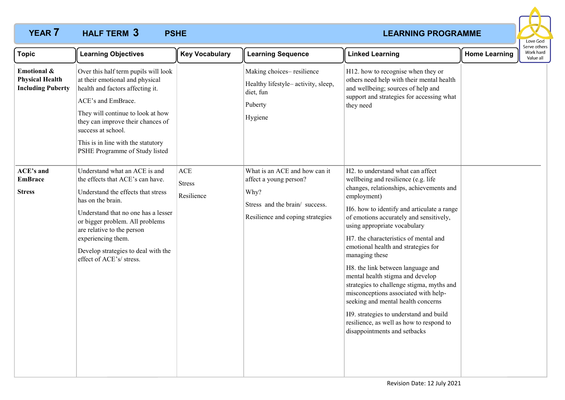# **YEAR 7 HALF TERM 3 PSHE** *PSHE PSHE PSHE PSHE PSHE PSHE PSHE PSHE* **HALF TERM PSHE 3**



| <b>Topic</b>                                                      | <b>Learning Objectives</b>                                                                                                                                                                                                                                                                                                    | <b>Key Vocabulary</b>                     | <b>Learning Sequence</b>                                                                                                             | <b>Linked Learning</b>                                                                                                                                                                                                                                                                                                                                                                                                                                                                                                                                                                                                                                                                   | <b>Home Learning</b> | Serve others<br>Work hard<br>Value all |
|-------------------------------------------------------------------|-------------------------------------------------------------------------------------------------------------------------------------------------------------------------------------------------------------------------------------------------------------------------------------------------------------------------------|-------------------------------------------|--------------------------------------------------------------------------------------------------------------------------------------|------------------------------------------------------------------------------------------------------------------------------------------------------------------------------------------------------------------------------------------------------------------------------------------------------------------------------------------------------------------------------------------------------------------------------------------------------------------------------------------------------------------------------------------------------------------------------------------------------------------------------------------------------------------------------------------|----------------------|----------------------------------------|
| Emotional &<br><b>Physical Health</b><br><b>Including Puberty</b> | Over this half term pupils will look<br>at their emotional and physical<br>health and factors affecting it.<br>ACE's and EmBrace.<br>They will continue to look at how<br>they can improve their chances of<br>success at school.<br>This is in line with the statutory<br>PSHE Programme of Study listed                     |                                           | Making choices-resilience<br>Healthy lifestyle-activity, sleep,<br>diet, fun<br>Puberty<br>Hygiene                                   | H12. how to recognise when they or<br>others need help with their mental health<br>and wellbeing; sources of help and<br>support and strategies for accessing what<br>they need                                                                                                                                                                                                                                                                                                                                                                                                                                                                                                          |                      |                                        |
| <b>ACE's and</b><br><b>EmBrace</b><br><b>Stress</b>               | Understand what an ACE is and<br>the effects that ACE's can have.<br>Understand the effects that stress<br>has on the brain.<br>Understand that no one has a lesser<br>or bigger problem. All problems<br>are relative to the person<br>experiencing them.<br>Develop strategies to deal with the<br>effect of ACE's/ stress. | <b>ACE</b><br><b>Stress</b><br>Resilience | What is an ACE and how can it<br>affect a young person?<br>Why?<br>Stress and the brain/success.<br>Resilience and coping strategies | H2. to understand what can affect<br>wellbeing and resilience (e.g. life<br>changes, relationships, achievements and<br>employment)<br>H6. how to identify and articulate a range<br>of emotions accurately and sensitively,<br>using appropriate vocabulary<br>H7. the characteristics of mental and<br>emotional health and strategies for<br>managing these<br>H8. the link between language and<br>mental health stigma and develop<br>strategies to challenge stigma, myths and<br>misconceptions associated with help-<br>seeking and mental health concerns<br>H9. strategies to understand and build<br>resilience, as well as how to respond to<br>disappointments and setbacks |                      |                                        |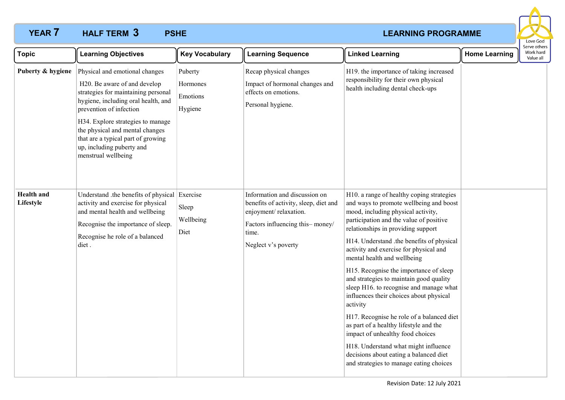# **YEAR 7 HALF TERM 3 PSHE** *PSHE PSHE PSHE PSHE PSHE PSHE PSHE* **HALF TERM PSHE 3**



| <b>Topic</b>                   | <b>Learning Objectives</b>                                                                                                                                                                                                                                                                                                                | <b>Key Vocabulary</b>                      | <b>Learning Sequence</b>                                                                                                                                           | <b>Linked Learning</b>                                                                                                                                                                                                                                                                                                                                                                                                                                                                                                                                                                                                                                                                                                                                                           | <b>Home Learning</b> | Serve others<br>Work hard<br>Value all |
|--------------------------------|-------------------------------------------------------------------------------------------------------------------------------------------------------------------------------------------------------------------------------------------------------------------------------------------------------------------------------------------|--------------------------------------------|--------------------------------------------------------------------------------------------------------------------------------------------------------------------|----------------------------------------------------------------------------------------------------------------------------------------------------------------------------------------------------------------------------------------------------------------------------------------------------------------------------------------------------------------------------------------------------------------------------------------------------------------------------------------------------------------------------------------------------------------------------------------------------------------------------------------------------------------------------------------------------------------------------------------------------------------------------------|----------------------|----------------------------------------|
| Puberty & hygiene              | Physical and emotional changes<br>H20. Be aware of and develop<br>strategies for maintaining personal<br>hygiene, including oral health, and<br>prevention of infection<br>H34. Explore strategies to manage<br>the physical and mental changes<br>that are a typical part of growing<br>up, including puberty and<br>menstrual wellbeing | Puberty<br>Hormones<br>Emotions<br>Hygiene | Recap physical changes<br>Impact of hormonal changes and<br>effects on emotions.<br>Personal hygiene.                                                              | H19. the importance of taking increased<br>responsibility for their own physical<br>health including dental check-ups                                                                                                                                                                                                                                                                                                                                                                                                                                                                                                                                                                                                                                                            |                      |                                        |
| <b>Health</b> and<br>Lifestyle | Understand .the benefits of physical Exercise<br>activity and exercise for physical<br>and mental health and wellbeing<br>Recognise the importance of sleep.<br>Recognise he role of a balanced<br>diet.                                                                                                                                  | Sleep<br>Wellbeing<br>Diet                 | Information and discussion on<br>benefits of activity, sleep, diet and<br>enjoyment/relaxation.<br>Factors influencing this-money/<br>time.<br>Neglect v's poverty | H10. a range of healthy coping strategies<br>and ways to promote wellbeing and boost<br>mood, including physical activity,<br>participation and the value of positive<br>relationships in providing support<br>H14. Understand .the benefits of physical<br>activity and exercise for physical and<br>mental health and wellbeing<br>H15. Recognise the importance of sleep<br>and strategies to maintain good quality<br>sleep H16. to recognise and manage what<br>influences their choices about physical<br>activity<br>H17. Recognise he role of a balanced diet<br>as part of a healthy lifestyle and the<br>impact of unhealthy food choices<br>H18. Understand what might influence<br>decisions about eating a balanced diet<br>and strategies to manage eating choices |                      |                                        |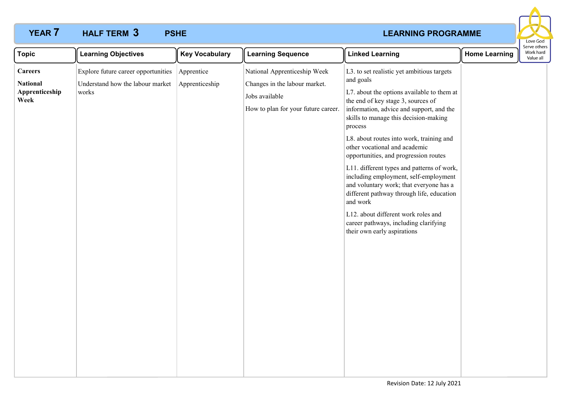# **YEAR 7 HALF TERM 3 PSHE** *PSHE PSHE PSHE PSHE PSHE PSHE PSHE PSHE* **HALF TERM PSHE 3**



| <b>Topic</b>                                                | <b>Learning Objectives</b>                                                                  | <b>Key Vocabulary</b> | <b>Learning Sequence</b>                                                                                               | <b>Linked Learning</b>                                                                                                                                                                                                                                                                                                                                                                                                                                                                                                                                                                                                                                                      | <b>Home Learning</b> | Serve others<br>Work hard<br>Value all |
|-------------------------------------------------------------|---------------------------------------------------------------------------------------------|-----------------------|------------------------------------------------------------------------------------------------------------------------|-----------------------------------------------------------------------------------------------------------------------------------------------------------------------------------------------------------------------------------------------------------------------------------------------------------------------------------------------------------------------------------------------------------------------------------------------------------------------------------------------------------------------------------------------------------------------------------------------------------------------------------------------------------------------------|----------------------|----------------------------------------|
| <b>Careers</b><br><b>National</b><br>Apprenticeship<br>Week | Explore future career opportunities Apprentice<br>Understand how the labour market<br>works | Apprenticeship        | National Apprenticeship Week<br>Changes in the labour market.<br>Jobs available<br>How to plan for your future career. | L3. to set realistic yet ambitious targets<br>and goals<br>L7. about the options available to them at<br>the end of key stage 3, sources of<br>information, advice and support, and the<br>skills to manage this decision-making<br>process<br>L8. about routes into work, training and<br>other vocational and academic<br>opportunities, and progression routes<br>L11. different types and patterns of work,<br>including employment, self-employment<br>and voluntary work; that everyone has a<br>different pathway through life, education<br>and work<br>L12. about different work roles and<br>career pathways, including clarifying<br>their own early aspirations |                      |                                        |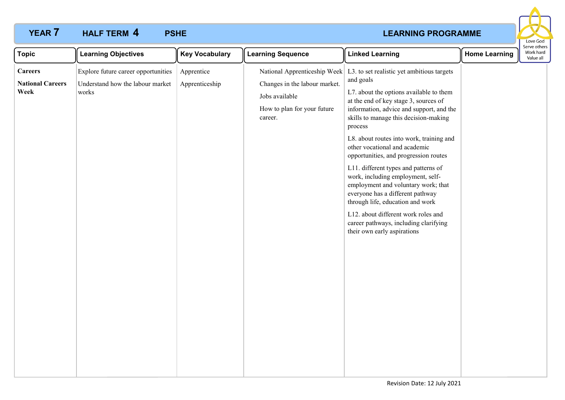# **YEAR 7 HALF TERM 4 PSHE** *PSHE PSHE PSHE PSHE PSHE PSHE PSHE* **HALF TERM PSHE 4**



| <b>Topic</b>                                      | <b>Learning Objectives</b>                                                       | <b>Key Vocabulary</b>        | <b>Learning Sequence</b>                                                                  | <b>Linked Learning</b>                                                                                                                                                                                                                                                                                                                                                                                                                                                                                                                                                                                                                                                                                      | <b>Home Learning</b> | Serve other<br>Work hard<br>Value all |
|---------------------------------------------------|----------------------------------------------------------------------------------|------------------------------|-------------------------------------------------------------------------------------------|-------------------------------------------------------------------------------------------------------------------------------------------------------------------------------------------------------------------------------------------------------------------------------------------------------------------------------------------------------------------------------------------------------------------------------------------------------------------------------------------------------------------------------------------------------------------------------------------------------------------------------------------------------------------------------------------------------------|----------------------|---------------------------------------|
| <b>Careers</b><br><b>National Careers</b><br>Week | Explore future career opportunities<br>Understand how the labour market<br>works | Apprentice<br>Apprenticeship | Changes in the labour market.<br>Jobs available<br>How to plan for your future<br>career. | National Apprenticeship Week   L3. to set realistic yet ambitious targets<br>and goals<br>L7. about the options available to them<br>at the end of key stage 3, sources of<br>information, advice and support, and the<br>skills to manage this decision-making<br>process<br>L8. about routes into work, training and<br>other vocational and academic<br>opportunities, and progression routes<br>L11. different types and patterns of<br>work, including employment, self-<br>employment and voluntary work; that<br>everyone has a different pathway<br>through life, education and work<br>L12. about different work roles and<br>career pathways, including clarifying<br>their own early aspirations |                      |                                       |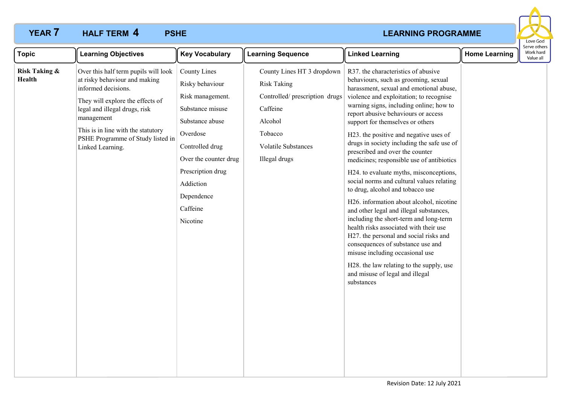# **YEAR 7 HALF TERM 4 PSHE** *PSHE PSHE PSHE PSHE PSHE PSHE PSHE* **HALF TERM PSHE 4**



| <b>Topic</b>                       | <b>Learning Objectives</b>                                                                                                                                                                                                                                                     | <b>Key Vocabulary</b>                                                                                                                                                                                                             | <b>Learning Sequence</b>                                                                                                                                     | <b>Linked Learning</b>                                                                                                                                                                                                                                                                                                                                                                                                                                                                                                                                                                                                                                                                                                                                                                                                                                                                                                                                                                | <b>Home Learning</b> | Serve othei<br>Work hard<br>Value all |
|------------------------------------|--------------------------------------------------------------------------------------------------------------------------------------------------------------------------------------------------------------------------------------------------------------------------------|-----------------------------------------------------------------------------------------------------------------------------------------------------------------------------------------------------------------------------------|--------------------------------------------------------------------------------------------------------------------------------------------------------------|---------------------------------------------------------------------------------------------------------------------------------------------------------------------------------------------------------------------------------------------------------------------------------------------------------------------------------------------------------------------------------------------------------------------------------------------------------------------------------------------------------------------------------------------------------------------------------------------------------------------------------------------------------------------------------------------------------------------------------------------------------------------------------------------------------------------------------------------------------------------------------------------------------------------------------------------------------------------------------------|----------------------|---------------------------------------|
| <b>Risk Taking &amp;</b><br>Health | Over this half term pupils will look<br>at risky behaviour and making<br>informed decisions.<br>They will explore the effects of<br>legal and illegal drugs, risk<br>management<br>This is in line with the statutory<br>PSHE Programme of Study listed in<br>Linked Learning. | <b>County Lines</b><br>Risky behaviour<br>Risk management.<br>Substance misuse<br>Substance abuse<br>Overdose<br>Controlled drug<br>Over the counter drug<br>Prescription drug<br>Addiction<br>Dependence<br>Caffeine<br>Nicotine | County Lines HT 3 dropdown<br><b>Risk Taking</b><br>Controlled/ prescription drugs<br>Caffeine<br>Alcohol<br>Tobacco<br>Volatile Substances<br>Illegal drugs | R37. the characteristics of abusive<br>behaviours, such as grooming, sexual<br>harassment, sexual and emotional abuse,<br>violence and exploitation; to recognise<br>warning signs, including online; how to<br>report abusive behaviours or access<br>support for themselves or others<br>H23. the positive and negative uses of<br>drugs in society including the safe use of<br>prescribed and over the counter<br>medicines; responsible use of antibiotics<br>H24. to evaluate myths, misconceptions,<br>social norms and cultural values relating<br>to drug, alcohol and tobacco use<br>H26. information about alcohol, nicotine<br>and other legal and illegal substances,<br>including the short-term and long-term<br>health risks associated with their use<br>H27. the personal and social risks and<br>consequences of substance use and<br>misuse including occasional use<br>H28. the law relating to the supply, use<br>and misuse of legal and illegal<br>substances |                      |                                       |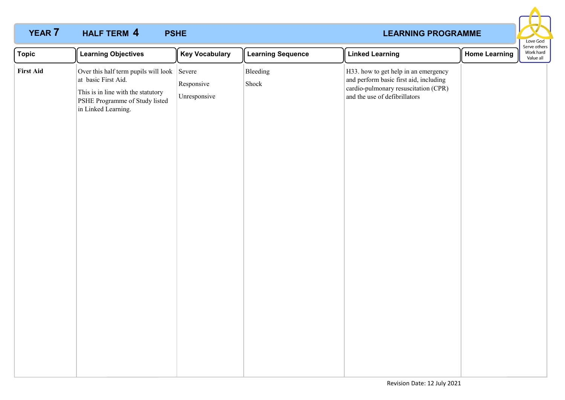# **YEAR 7 HALF TERM 4 PSHE** *PSHE PSHE PSHE PSHE PSHE PSHE PSHE* **HALF TERM PSHE 4**



| <b>Topic</b>     | <b>Learning Objectives</b>                                                                                                                                        | <b>Key Vocabulary</b>      | <b>Learning Sequence</b> | <b>Linked Learning</b>                                                                                                                                  | <b>Home Learning</b> | Work hard<br>Value all |
|------------------|-------------------------------------------------------------------------------------------------------------------------------------------------------------------|----------------------------|--------------------------|---------------------------------------------------------------------------------------------------------------------------------------------------------|----------------------|------------------------|
| <b>First Aid</b> | Over this half term pupils will look Severe<br>at basic First Aid.<br>This is in line with the statutory<br>PSHE Programme of Study listed<br>in Linked Learning. | Responsive<br>Unresponsive | Bleeding<br>Shock        | H33. how to get help in an emergency<br>and perform basic first aid, including<br>cardio-pulmonary resuscitation (CPR)<br>and the use of defibrillators |                      | Serve others           |
|                  |                                                                                                                                                                   |                            |                          |                                                                                                                                                         |                      |                        |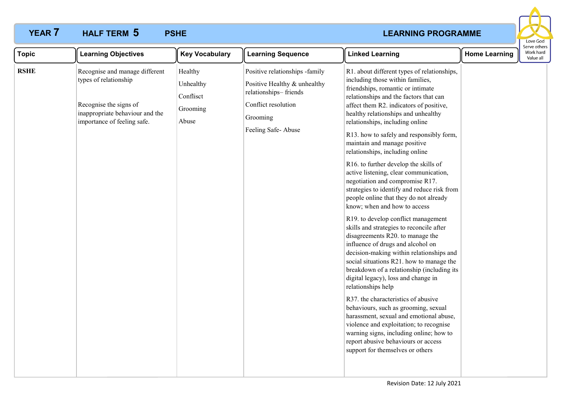# **YEAR 7 HALF TERM 5 PSHE** *PSHE PSHE PSHE PSHE PSHE PSHE PSHE* **HALF TERM PSHE 5**



| <b>Topic</b> | <b>Learning Objectives</b>                                                                                                                          | <b>Key Vocabulary</b>                                  | <b>Learning Sequence</b>                                                                                                                         | <b>Linked Learning</b>                                                                                                                                                                                                                                                                                                                                                                                                                                                                                                                                                                                                                                                                                                                                                                                                                                                                                                                                                                                                                                                                                                                                                                                                                                                                                      | <b>Home Learning</b> | Work hard<br>Value all |
|--------------|-----------------------------------------------------------------------------------------------------------------------------------------------------|--------------------------------------------------------|--------------------------------------------------------------------------------------------------------------------------------------------------|-------------------------------------------------------------------------------------------------------------------------------------------------------------------------------------------------------------------------------------------------------------------------------------------------------------------------------------------------------------------------------------------------------------------------------------------------------------------------------------------------------------------------------------------------------------------------------------------------------------------------------------------------------------------------------------------------------------------------------------------------------------------------------------------------------------------------------------------------------------------------------------------------------------------------------------------------------------------------------------------------------------------------------------------------------------------------------------------------------------------------------------------------------------------------------------------------------------------------------------------------------------------------------------------------------------|----------------------|------------------------|
| <b>RSHE</b>  | Recognise and manage different<br>types of relationship<br>Recognise the signs of<br>inappropriate behaviour and the<br>importance of feeling safe. | Healthy<br>Unhealthy<br>Conflisct<br>Grooming<br>Abuse | Positive relationships -family<br>Positive Healthy & unhealthy<br>relationships-friends<br>Conflict resolution<br>Grooming<br>Feeling Safe-Abuse | R1. about different types of relationships,<br>including those within families,<br>friendships, romantic or intimate<br>relationships and the factors that can<br>affect them R2. indicators of positive,<br>healthy relationships and unhealthy<br>relationships, including online<br>R13. how to safely and responsibly form,<br>maintain and manage positive<br>relationships, including online<br>R16. to further develop the skills of<br>active listening, clear communication,<br>negotiation and compromise R17.<br>strategies to identify and reduce risk from<br>people online that they do not already<br>know; when and how to access<br>R19. to develop conflict management<br>skills and strategies to reconcile after<br>disagreements R20. to manage the<br>influence of drugs and alcohol on<br>decision-making within relationships and<br>social situations R21. how to manage the<br>breakdown of a relationship (including its<br>digital legacy), loss and change in<br>relationships help<br>R37. the characteristics of abusive<br>behaviours, such as grooming, sexual<br>harassment, sexual and emotional abuse,<br>violence and exploitation; to recognise<br>warning signs, including online; how to<br>report abusive behaviours or access<br>support for themselves or others |                      |                        |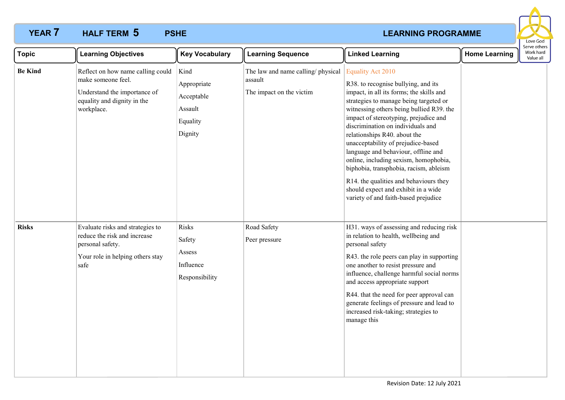# **YEAR 7 HALF TERM 5 PSHE** *PSHE PSHE PSHE PSHE PSHE PSHE PSHE* **HALF TERM PSHE 5**



| <b>Topic</b>   | <b>Learning Objectives</b>                                                                                                           | <b>Key Vocabulary</b>                                               | <b>Learning Sequence</b>                                                 | <b>Linked Learning</b>                                                                                                                                                                                                                                                                                                                                                                                                                                                                                                                                                                                   | <b>Home Learning</b> | <b>SEIVE OUTERS</b><br>Work hard<br>Value all |
|----------------|--------------------------------------------------------------------------------------------------------------------------------------|---------------------------------------------------------------------|--------------------------------------------------------------------------|----------------------------------------------------------------------------------------------------------------------------------------------------------------------------------------------------------------------------------------------------------------------------------------------------------------------------------------------------------------------------------------------------------------------------------------------------------------------------------------------------------------------------------------------------------------------------------------------------------|----------------------|-----------------------------------------------|
| <b>Be Kind</b> | Reflect on how name calling could<br>make someone feel.<br>Understand the importance of<br>equality and dignity in the<br>workplace. | Kind<br>Appropriate<br>Acceptable<br>Assault<br>Equality<br>Dignity | The law and name calling/physical<br>assault<br>The impact on the victim | <b>Equality Act 2010</b><br>R38. to recognise bullying, and its<br>impact, in all its forms; the skills and<br>strategies to manage being targeted or<br>witnessing others being bullied R39. the<br>impact of stereotyping, prejudice and<br>discrimination on individuals and<br>relationships R40. about the<br>unacceptability of prejudice-based<br>language and behaviour, offline and<br>online, including sexism, homophobia,<br>biphobia, transphobia, racism, ableism<br>R14. the qualities and behaviours they<br>should expect and exhibit in a wide<br>variety of and faith-based prejudice |                      |                                               |
| <b>Risks</b>   | Evaluate risks and strategies to<br>reduce the risk and increase<br>personal safety.<br>Your role in helping others stay<br>safe     | Risks<br>Safety<br>Assess<br>Influence<br>Responsibility            | Road Safety<br>Peer pressure                                             | H31. ways of assessing and reducing risk<br>in relation to health, wellbeing and<br>personal safety<br>R43. the role peers can play in supporting<br>one another to resist pressure and<br>influence, challenge harmful social norms<br>and access appropriate support<br>R44. that the need for peer approval can<br>generate feelings of pressure and lead to<br>increased risk-taking; strategies to<br>manage this                                                                                                                                                                                   |                      |                                               |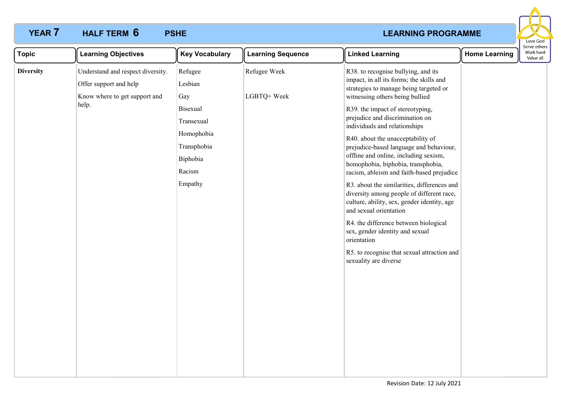# **YEAR 7 HALF TERM 6 PSHE** *PSHE PSHE PSHE PSHE PSHE PSHE PSHE* **HALF TERM PSHE 6**



| <b>Topic</b>     | <b>Learning Objectives</b>                                                                            | <b>Key Vocabulary</b>                                                                                         | <b>Learning Sequence</b>    | <b>Linked Learning</b>                                                                                                                                                                                                                                                                                                                                                                                                                                                           | <b>Home Learning</b> | Serve others<br>Work hard<br>Value all |
|------------------|-------------------------------------------------------------------------------------------------------|---------------------------------------------------------------------------------------------------------------|-----------------------------|----------------------------------------------------------------------------------------------------------------------------------------------------------------------------------------------------------------------------------------------------------------------------------------------------------------------------------------------------------------------------------------------------------------------------------------------------------------------------------|----------------------|----------------------------------------|
| <b>Diversity</b> | Understand and respect diversity.<br>Offer support and help<br>Know where to get support and<br>help. | Refugee<br>Lesbian<br>Gay<br><b>Bisexual</b><br>Transexual<br>Homophobia<br>Transphobia<br>Biphobia<br>Racism | Refugee Week<br>LGBTQ+ Week | R38. to recognise bullying, and its<br>impact, in all its forms; the skills and<br>strategies to manage being targeted or<br>witnessing others being bullied<br>R39. the impact of stereotyping,<br>prejudice and discrimination on<br>individuals and relationships<br>R40. about the unacceptability of<br>prejudice-based language and behaviour,<br>offline and online, including sexism,<br>homophobia, biphobia, transphobia,<br>racism, ableism and faith-based prejudice |                      |                                        |
|                  |                                                                                                       | Empathy                                                                                                       |                             | R3. about the similarities, differences and<br>diversity among people of different race,<br>culture, ability, sex, gender identity, age<br>and sexual orientation<br>R4. the difference between biological<br>sex, gender identity and sexual<br>orientation<br>R5. to recognise that sexual attraction and<br>sexuality are diverse                                                                                                                                             |                      |                                        |